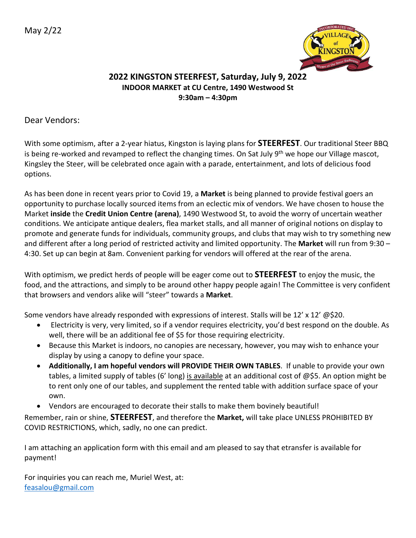

## **2022 KINGSTON STEERFEST, Saturday, July 9, 2022 INDOOR MARKET at CU Centre, 1490 Westwood St 9:30am – 4:30pm**

Dear Vendors:

With some optimism, after a 2-year hiatus, Kingston is laying plans for **STEERFEST**. Our traditional Steer BBQ is being re-worked and revamped to reflect the changing times. On Sat July 9<sup>th</sup> we hope our Village mascot, Kingsley the Steer, will be celebrated once again with a parade, entertainment, and lots of delicious food options.

As has been done in recent years prior to Covid 19, a **Market** is being planned to provide festival goers an opportunity to purchase locally sourced items from an eclectic mix of vendors. We have chosen to house the Market **inside** the **Credit Union Centre (arena)**, 1490 Westwood St, to avoid the worry of uncertain weather conditions. We anticipate antique dealers, flea market stalls, and all manner of original notions on display to promote and generate funds for individuals, community groups, and clubs that may wish to try something new and different after a long period of restricted activity and limited opportunity. The **Market** will run from 9:30 – 4:30. Set up can begin at 8am. Convenient parking for vendors will offered at the rear of the arena.

With optimism, we predict herds of people will be eager come out to **STEERFEST** to enjoy the music, the food, and the attractions, and simply to be around other happy people again! The Committee is very confident that browsers and vendors alike will "steer" towards a **Market**.

Some vendors have already responded with expressions of interest. Stalls will be 12' x 12' @\$20.

- Electricity is very, very limited, so if a vendor requires electricity, you'd best respond on the double. As well, there will be an additional fee of \$5 for those requiring electricity.
- Because this Market is indoors, no canopies are necessary, however, you may wish to enhance your display by using a canopy to define your space.
- **Additionally, I am hopeful vendors will PROVIDE THEIR OWN TABLES**. If unable to provide your own tables, a limited supply of tables (6' long) is available at an additional cost of @\$5. An option might be to rent only one of our tables, and supplement the rented table with addition surface space of your own.
- Vendors are encouraged to decorate their stalls to make them bovinely beautiful!

Remember, rain or shine, **STEERFEST**, and therefore the **Market,** will take place UNLESS PROHIBITED BY COVID RESTRICTIONS, which, sadly, no one can predict.

I am attaching an application form with this email and am pleased to say that etransfer is available for payment!

For inquiries you can reach me, Muriel West, at: [feasalou@gmail.com](mailto:feasalou@gmail.com)